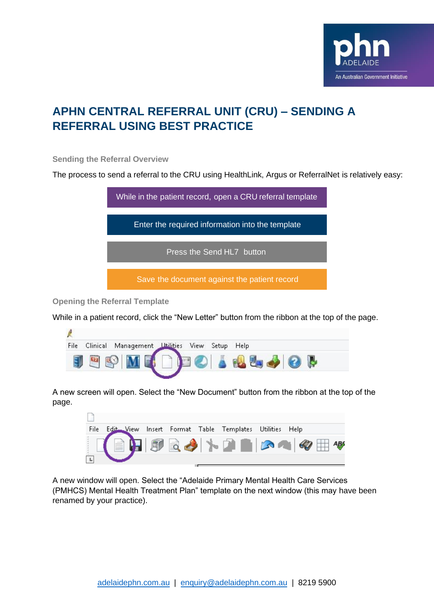

## **APHN CENTRAL REFERRAL UNIT (CRU) – SENDING A REFERRAL USING BEST PRACTICE**

**Sending the Referral Overview**

The process to send a referral to the CRU using HealthLink, Argus or ReferralNet is relatively easy:



**Opening the Referral Template**

While in a patient record, click the "New Letter" button from the ribbon at the top of the page.

| File | Clinical | Management Litilities | View | Setup Help |  |
|------|----------|-----------------------|------|------------|--|
|      |          |                       |      |            |  |
|      |          |                       |      |            |  |

A new screen will open. Select the "New Document" button from the ribbon at the top of the page.



A new window will open. Select the "Adelaide Primary Mental Health Care Services (PMHCS) Mental Health Treatment Plan" template on the next window (this may have been renamed by your practice).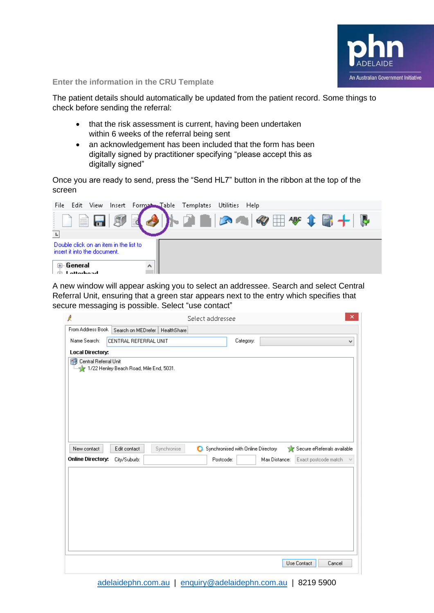

**Enter the information in the CRU Template**

The patient details should automatically be updated from the patient record. Some things to check before sending the referral:

- that the risk assessment is current, having been undertaken within 6 weeks of the referral being sent
- an acknowledgement has been included that the form has been digitally signed by practitioner specifying "please accept this as digitally signed"

Once you are ready to send, press the "Send HL7" button in the ribbon at the top of the screen

| File |                             |                              |                                        |   | Edit View Insert Format Table Templates Utilities Help |  |                                     |  |  |
|------|-----------------------------|------------------------------|----------------------------------------|---|--------------------------------------------------------|--|-------------------------------------|--|--|
|      |                             | et la l                      | 同                                      |   |                                                        |  | ト Q ■   C Q   +   +   +     +     + |  |  |
| T.   |                             |                              |                                        |   |                                                        |  |                                     |  |  |
|      |                             | insert it into the document. | Double click on an item in the list to |   |                                                        |  |                                     |  |  |
|      | ⊞- General<br>$I$ attarhaad |                              |                                        | ۸ |                                                        |  |                                     |  |  |

A new window will appear asking you to select an addressee. Search and select Central Referral Unit, ensuring that a green star appears next to the entry which specifies that secure messaging is possible. Select "use contact"

| Ŕ                                                                |                       |                                  | Select addressee                   |           |               |                             | $\times$            |
|------------------------------------------------------------------|-----------------------|----------------------------------|------------------------------------|-----------|---------------|-----------------------------|---------------------|
| From Address Book                                                |                       | Search on MEDrefer   HealthShare |                                    |           |               |                             |                     |
| Name Search:                                                     | CENTRAL REFERRAL UNIT |                                  |                                    | Category: |               |                             | v                   |
| Local Directory:                                                 |                       |                                  |                                    |           |               |                             |                     |
| Central Referral Unit<br>1/22 Henley Beach Road, Mile End, 5031. |                       |                                  |                                    |           |               |                             |                     |
| New contact                                                      | Edit contact          | Synchronise                      | Synchronised with Online Directory |           |               | Secure eReferrals available |                     |
| <b>Online Directory:</b>                                         | City/Suburb:          |                                  | Postcode:                          |           | Max Distance: | Exact postcode match        | $\lambda_{\rm eff}$ |
|                                                                  |                       |                                  |                                    |           |               | Use Contact<br>Cancel       |                     |